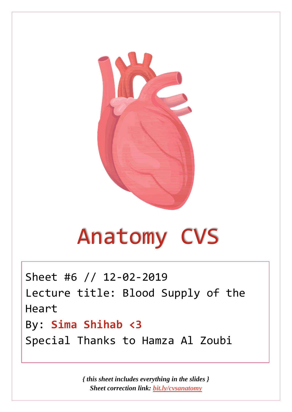

# Anatomy CVS

Sheet #6 // 12-02-2019 Lecture title: Blood Supply of the Heart By: **Sima Shihab <3** Special Thanks to Hamza Al Zoubi

> *{ this sheet includes everything in the slides } Sheet correction link: [bit.ly/cvsanatomy](https://bit.ly/cvsanatomy)*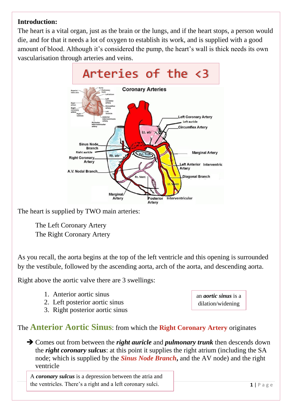#### **Introduction:**

The heart is a vital organ, just as the brain or the lungs, and if the heart stops, a person would die, and for that it needs a lot of oxygen to establish its work, and is supplied with a good amount of blood. Although it's considered the pump, the heart's wall is thick needs its own vascularisation through arteries and veins.



The heart is supplied by TWO main arteries:

The Left Coronary Artery The Right Coronary Artery

As you recall, the aorta begins at the top of the left ventricle and this opening is surrounded by the vestibule, followed by the ascending aorta, arch of the aorta, and descending aorta.

Right above the aortic valve there are 3 swellings:

- 1. Anterior aortic sinus
- 2. Left posterior aortic sinus
- 3. Right posterior aortic sinus

The **Anterior Aortic Sinus**: from which the **Right Coronary Artery** originates

➔ Comes out from between the *right auricle* and *pulmonary trunk* then descends down the *right coronary sulcus*: at this point it supplies the right atrium (including the SA node; which is supplied by the *Sinus Node Branch***,** and the AV node) and the right ventricle

A *coronary sulcus* is a depression between the atria and the ventricles. There's a right and a left coronary sulci.

an *aortic sinus* is a dilation/widening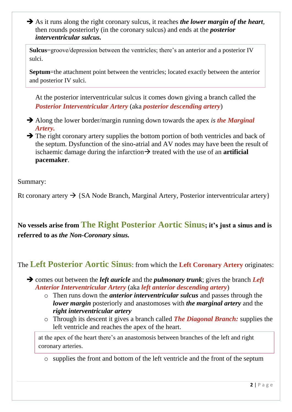➔ As it runs along the right coronary sulcus, it reaches *the lower margin of the heart*, then rounds posteriorly (in the coronary sulcus) and ends at the *posterior interventricular sulcus.*

**Sulcus**=groove/depression between the ventricles; there's an anterior and a posterior IV sulci.

**Septum**=the attachment point between the ventricles; located exactly between the anterior and posterior IV sulci.

At the posterior interventricular sulcus it comes down giving a branch called the *Posterior Interventricular Artery* (aka *posterior descending artery*)

- ➔ Along the lower border/margin running down towards the apex *is the Marginal Artery.*
- **→** The right coronary artery supplies the bottom portion of both ventricles and back of the septum. Dysfunction of the sino-atrial and AV nodes may have been the result of ischaemic damage during the infarction $\rightarrow$  treated with the use of an **artificial pacemaker**.

#### Summary:

Rt coronary artery  $\rightarrow$  {SA Node Branch, Marginal Artery, Posterior interventricular artery}

**No vessels arise from The Right Posterior Aortic Sinus; it's just a sinus and is referred to as** *the Non-Coronary sinus.*

### The **Left Posterior Aortic Sinus**: from which the **Left Coronary Artery** originates:

➔ comes out between the *left auricle* and the *pulmonary trunk*; gives the branch *Left Anterior Interventricular Artery* (aka *left anterior descending artery*)

- o Then runs down the *anterior interventricular sulcus* and passes through the *lower margin* posteriorly and anastomoses with *the marginal artery* and the *right interventricular artery*
- o Through its descent it gives a branch called *The Diagonal Branch:* supplies the left ventricle and reaches the apex of the heart.

at the apex of the heart there's an anastomosis between branches of the left and right coronary arteries.

o supplies the front and bottom of the left ventricle and the front of the septum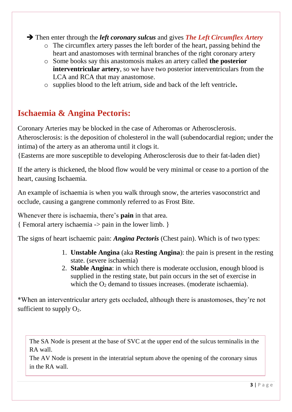➔ Then enter through the *left coronary sulcus* and gives *The Left Circumflex Artery*

- o The circumflex artery passes the left border of the heart, passing behind the heart and anastomoses with terminal branches of the right coronary artery
- o Some books say this anastomosis makes an artery called **the posterior interventricular artery**, so we have two posterior interventriculars from the LCA and RCA that may anastomose.

o supplies blood to the left atrium, side and back of the left ventricle**.**

## **Ischaemia & Angina Pectoris:**

Coronary Arteries may be blocked in the case of Atheromas or Atherosclerosis.

Atherosclerosis: is the deposition of cholesterol in the wall (subendocardial region; under the intima) of the artery as an atheroma until it clogs it.

{Easterns are more susceptible to developing Atherosclerosis due to their fat-laden diet}

If the artery is thickened, the blood flow would be very minimal or cease to a portion of the heart, causing Ischaemia.

An example of ischaemia is when you walk through snow, the arteries vasoconstrict and occlude, causing a gangrene commonly referred to as Frost Bite.

Whenever there is ischaemia, there's **pain** in that area. { Femoral artery ischaemia -> pain in the lower limb. }

The signs of heart ischaemic pain: *Angina Pectoris* (Chest pain). Which is of two types:

- 1. **Unstable Angina** (aka **Resting Angina**): the pain is present in the resting state. (severe ischaemia)
- 2. **Stable Angina**: in which there is moderate occlusion, enough blood is supplied in the resting state, but pain occurs in the set of exercise in which the  $O_2$  demand to tissues increases. (moderate ischaemia).

\*When an interventricular artery gets occluded, although there is anastomoses, they're not sufficient to supply  $O_2$ .

The SA Node is present at the base of SVC at the upper end of the sulcus terminalis in the RA wall.

The AV Node is present in the interatrial septum above the opening of the coronary sinus in the RA wall.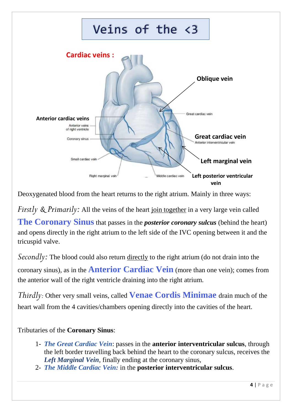

Deoxygenated blood from the heart returns to the right atrium. Mainly in three ways:

*Firstly* & *Primarily*: All the veins of the heart join together in a very large vein called

**The Coronary Sinus** that passes in the *posterior coronary sulcus* (behind the heart) and opens directly in the right atrium to the left side of the IVC opening between it and the tricuspid valve.

*Secondly*: The blood could also return directly to the right atrium (do not drain into the coronary sinus), as in the **Anterior Cardiac Vein** (more than one vein); comes from the anterior wall of the right ventricle draining into the right atrium.

*Thirdly:* Other very small veins, called **Venae Cordis Minimae** drain much of the heart wall from the 4 cavities/chambers opening directly into the cavities of the heart.

Tributaries of the **Coronary Sinus**:

- 1- *The Great Cardiac Vein*: passes in the **anterior interventricular sulcus**, through the left border travelling back behind the heart to the coronary sulcus, receives the *Left Marginal Vein*, finally ending at the coronary sinus,
- 2- *The Middle Cardiac Vein:* in the **posterior interventricular sulcus**.